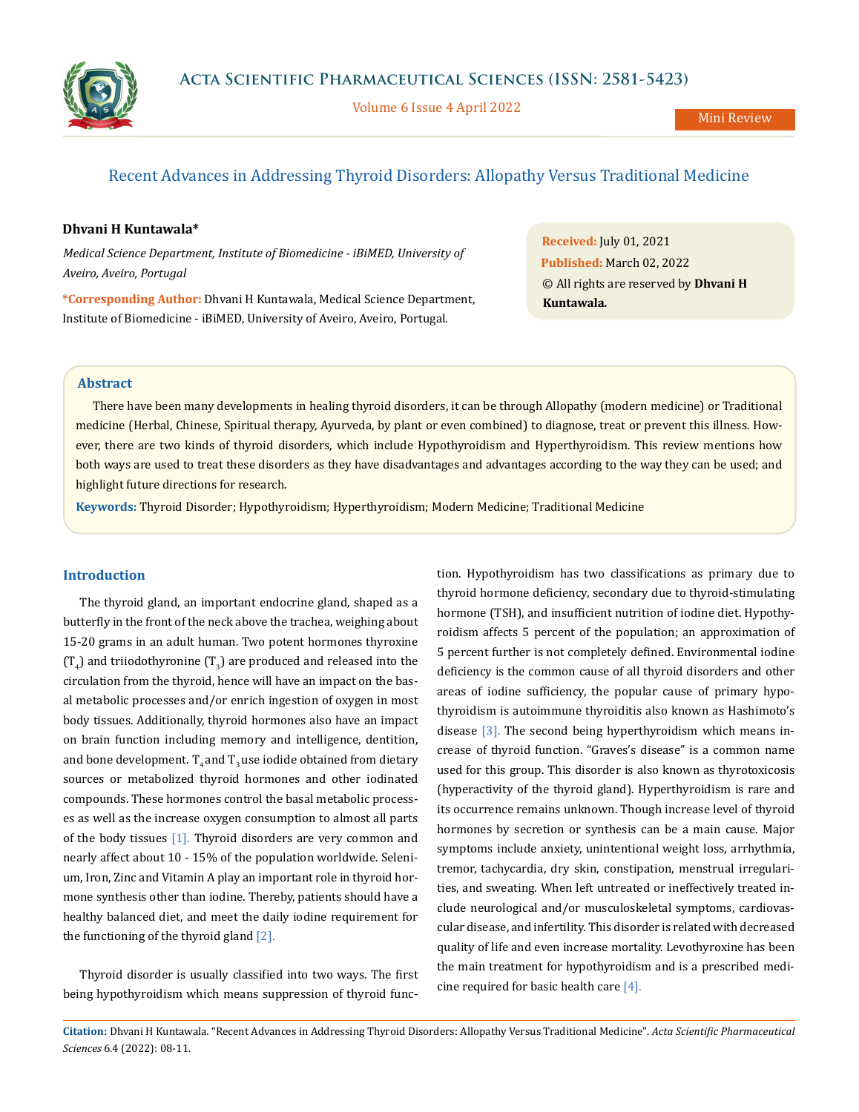

Volume 6 Issue 4 April 2022

# Recent Advances in Addressing Thyroid Disorders: Allopathy Versus Traditional Medicine

## **Dhvani H Kuntawala\***

*Medical Science Department, Institute of Biomedicine - iBiMED, University of Aveiro, Aveiro, Portugal*

**\*Corresponding Author:** Dhvani H Kuntawala, Medical Science Department, Institute of Biomedicine - iBiMED, University of Aveiro, Aveiro, Portugal.

**Received:** July 01, 2021 **Published:** March 02, 2022 © All rights are reserved by **Dhvani H Kuntawala***.*

# **Abstract**

There have been many developments in healing thyroid disorders, it can be through Allopathy (modern medicine) or Traditional medicine (Herbal, Chinese, Spiritual therapy, Ayurveda, by plant or even combined) to diagnose, treat or prevent this illness. However, there are two kinds of thyroid disorders, which include Hypothyroidism and Hyperthyroidism. This review mentions how both ways are used to treat these disorders as they have disadvantages and advantages according to the way they can be used; and highlight future directions for research.

**Keywords:** Thyroid Disorder; Hypothyroidism; Hyperthyroidism; Modern Medicine; Traditional Medicine

# **Introduction**

The thyroid gland, an important endocrine gland, shaped as a butterfly in the front of the neck above the trachea, weighing about 15-20 grams in an adult human. Two potent hormones thyroxine  $(T_4)$  and triiodothyronine  $(T_3)$  are produced and released into the circulation from the thyroid, hence will have an impact on the basal metabolic processes and/or enrich ingestion of oxygen in most body tissues. Additionally, thyroid hormones also have an impact on brain function including memory and intelligence, dentition, and bone development.  $T_{4}$  and  $T_{2}$  use iodide obtained from dietary sources or metabolized thyroid hormones and other iodinated compounds. These hormones control the basal metabolic processes as well as the increase oxygen consumption to almost all parts of the body tissues [1]. Thyroid disorders are very common and nearly affect about 10 - 15% of the population worldwide. Selenium, Iron, Zinc and Vitamin A play an important role in thyroid hormone synthesis other than iodine. Thereby, patients should have a healthy balanced diet, and meet the daily iodine requirement for the functioning of the thyroid gland [2].

Thyroid disorder is usually classified into two ways. The first being hypothyroidism which means suppression of thyroid function. Hypothyroidism has two classifications as primary due to thyroid hormone deficiency, secondary due to thyroid-stimulating hormone (TSH), and insufficient nutrition of iodine diet. Hypothyroidism affects 5 percent of the population; an approximation of 5 percent further is not completely defined. Environmental iodine deficiency is the common cause of all thyroid disorders and other areas of iodine sufficiency, the popular cause of primary hypothyroidism is autoimmune thyroiditis also known as Hashimoto's disease [3]. The second being hyperthyroidism which means increase of thyroid function. "Graves's disease" is a common name used for this group. This disorder is also known as thyrotoxicosis (hyperactivity of the thyroid gland). Hyperthyroidism is rare and its occurrence remains unknown. Though increase level of thyroid hormones by secretion or synthesis can be a main cause. Major symptoms include anxiety, unintentional weight loss, arrhythmia, tremor, tachycardia, dry skin, constipation, menstrual irregularities, and sweating. When left untreated or ineffectively treated include neurological and/or musculoskeletal symptoms, cardiovascular disease, and infertility. This disorder is related with decreased quality of life and even increase mortality. Levothyroxine has been the main treatment for hypothyroidism and is a prescribed medicine required for basic health care  $[4]$ .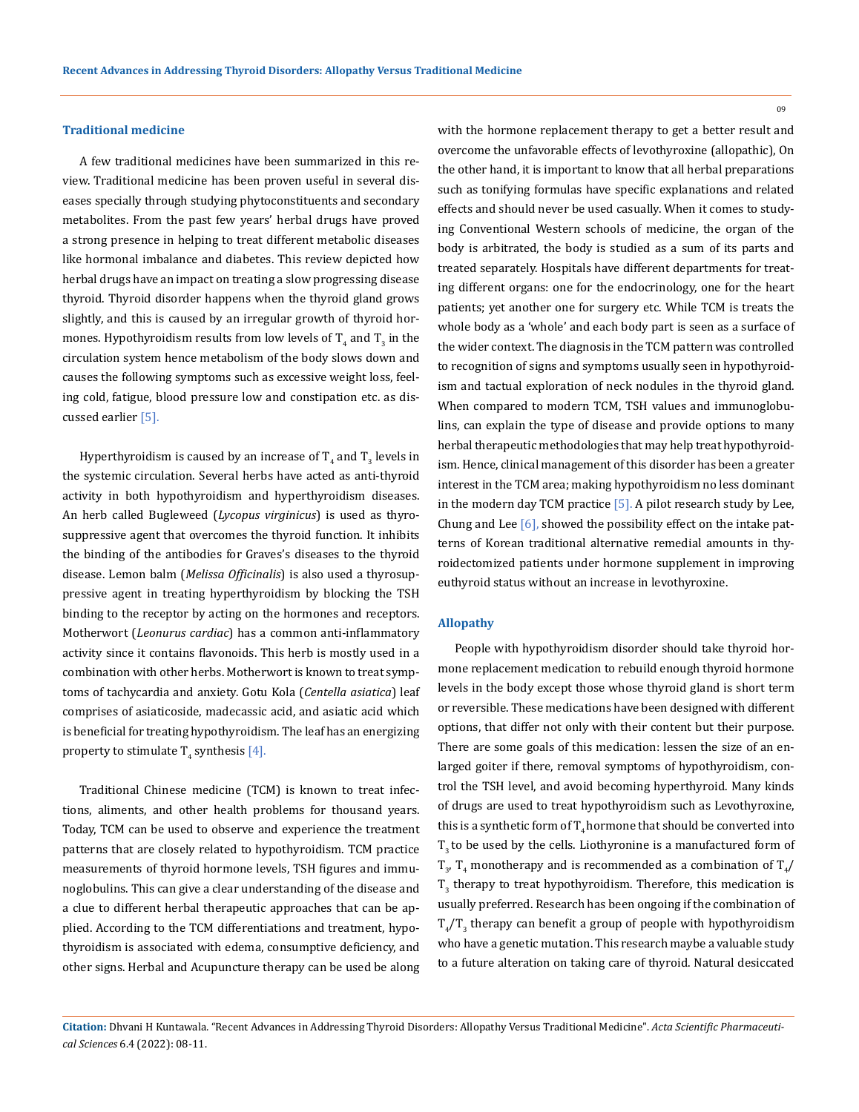#### **Traditional medicine**

A few traditional medicines have been summarized in this review. Traditional medicine has been proven useful in several diseases specially through studying phytoconstituents and secondary metabolites. From the past few years' herbal drugs have proved a strong presence in helping to treat different metabolic diseases like hormonal imbalance and diabetes. This review depicted how herbal drugs have an impact on treating a slow progressing disease thyroid. Thyroid disorder happens when the thyroid gland grows slightly, and this is caused by an irregular growth of thyroid hormones. Hypothyroidism results from low levels of  $\mathrm{T}_4$  and  $\mathrm{T}_3$  in the circulation system hence metabolism of the body slows down and causes the following symptoms such as excessive weight loss, feeling cold, fatigue, blood pressure low and constipation etc. as discussed earlier [5].

Hyperthyroidism is caused by an increase of  $\mathrm{T}_4$  and  $\mathrm{T}_3$  levels in the systemic circulation. Several herbs have acted as anti-thyroid activity in both hypothyroidism and hyperthyroidism diseases. An herb called Bugleweed (*Lycopus virginicus*) is used as thyrosuppressive agent that overcomes the thyroid function. It inhibits the binding of the antibodies for Graves's diseases to the thyroid disease. Lemon balm (*Melissa Officinalis*) is also used a thyrosuppressive agent in treating hyperthyroidism by blocking the TSH binding to the receptor by acting on the hormones and receptors. Motherwort (*Leonurus cardiac*) has a common anti-inflammatory activity since it contains flavonoids. This herb is mostly used in a combination with other herbs. Motherwort is known to treat symptoms of tachycardia and anxiety. Gotu Kola (*Centella asiatica*) leaf comprises of asiaticoside, madecassic acid, and asiatic acid which is beneficial for treating hypothyroidism. The leaf has an energizing property to stimulate  $T_4$  synthesis [4].

Traditional Chinese medicine (TCM) is known to treat infections, aliments, and other health problems for thousand years. Today, TCM can be used to observe and experience the treatment patterns that are closely related to hypothyroidism. TCM practice measurements of thyroid hormone levels, TSH figures and immunoglobulins. This can give a clear understanding of the disease and a clue to different herbal therapeutic approaches that can be applied. According to the TCM differentiations and treatment, hypothyroidism is associated with edema, consumptive deficiency, and other signs. Herbal and Acupuncture therapy can be used be along with the hormone replacement therapy to get a better result and overcome the unfavorable effects of levothyroxine (allopathic), On the other hand, it is important to know that all herbal preparations such as tonifying formulas have specific explanations and related effects and should never be used casually. When it comes to studying Conventional Western schools of medicine, the organ of the body is arbitrated, the body is studied as a sum of its parts and treated separately. Hospitals have different departments for treating different organs: one for the endocrinology, one for the heart patients; yet another one for surgery etc. While TCM is treats the whole body as a 'whole' and each body part is seen as a surface of the wider context. The diagnosis in the TCM pattern was controlled to recognition of signs and symptoms usually seen in hypothyroidism and tactual exploration of neck nodules in the thyroid gland. When compared to modern TCM, TSH values and immunoglobulins, can explain the type of disease and provide options to many herbal therapeutic methodologies that may help treat hypothyroidism. Hence, clinical management of this disorder has been a greater interest in the TCM area; making hypothyroidism no less dominant in the modern day TCM practice  $[5]$ . A pilot research study by Lee, Chung and Lee  $[6]$ , showed the possibility effect on the intake patterns of Korean traditional alternative remedial amounts in thyroidectomized patients under hormone supplement in improving euthyroid status without an increase in levothyroxine.

## **Allopathy**

People with hypothyroidism disorder should take thyroid hormone replacement medication to rebuild enough thyroid hormone levels in the body except those whose thyroid gland is short term or reversible. These medications have been designed with different options, that differ not only with their content but their purpose. There are some goals of this medication: lessen the size of an enlarged goiter if there, removal symptoms of hypothyroidism, control the TSH level, and avoid becoming hyperthyroid. Many kinds of drugs are used to treat hypothyroidism such as Levothyroxine, this is a synthetic form of  $T<sub>4</sub>$  hormone that should be converted into  $T<sub>3</sub>$  to be used by the cells. Liothyronine is a manufactured form of  $T_{3'}$ ,  $T_4$  monotherapy and is recommended as a combination of  $T_4/$  $\rm T_3$  therapy to treat hypothyroidism. Therefore, this medication is usually preferred. Research has been ongoing if the combination of  $T_{4}/T_{3}$  therapy can benefit a group of people with hypothyroidism who have a genetic mutation. This research maybe a valuable study to a future alteration on taking care of thyroid. Natural desiccated

09

**Citation:** Dhvani H Kuntawala*.* "Recent Advances in Addressing Thyroid Disorders: Allopathy Versus Traditional Medicine". *Acta Scientific Pharmaceutical Sciences* 6.4 (2022): 08-11.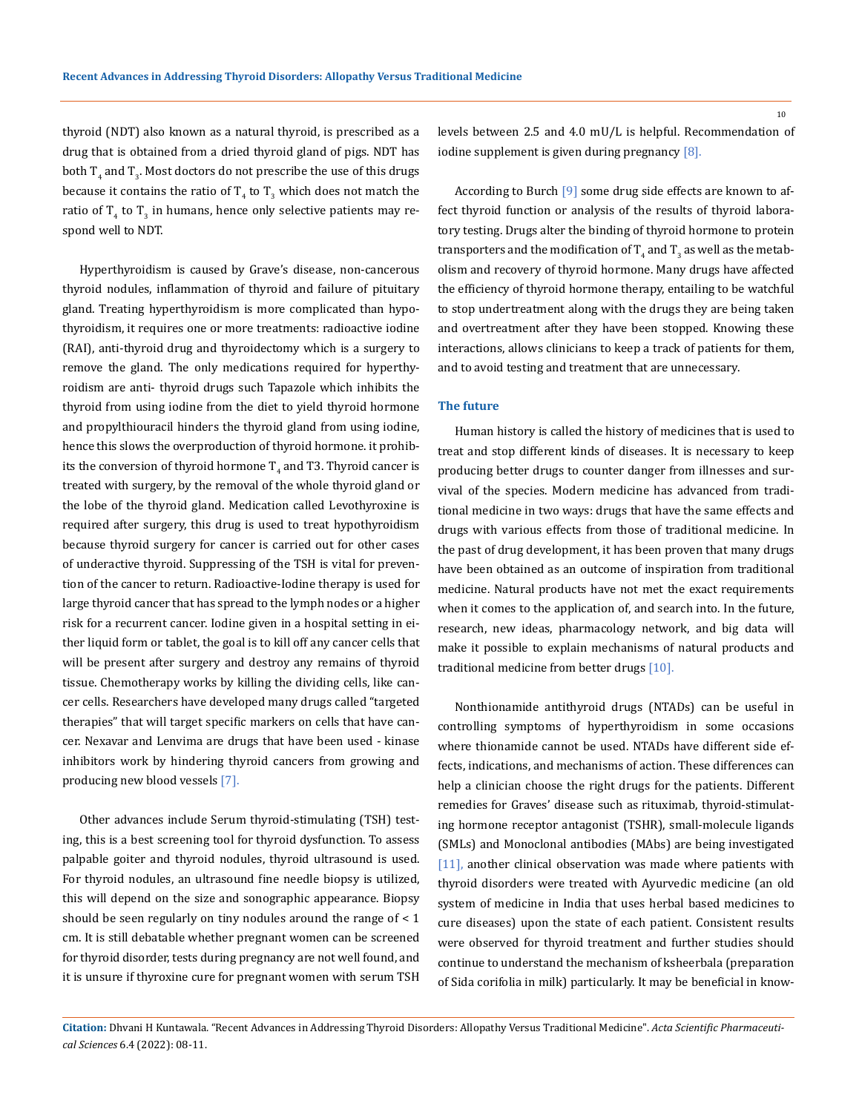thyroid (NDT) also known as a natural thyroid, is prescribed as a drug that is obtained from a dried thyroid gland of pigs. NDT has both  $T_4$  and  $T_3$ . Most doctors do not prescribe the use of this drugs because it contains the ratio of  $T_4$  to  $T_3$  which does not match the ratio of  $T_4$  to  $T_3$  in humans, hence only selective patients may respond well to NDT.

Hyperthyroidism is caused by Grave's disease, non-cancerous thyroid nodules, inflammation of thyroid and failure of pituitary gland. Treating hyperthyroidism is more complicated than hypothyroidism, it requires one or more treatments: radioactive iodine (RAI), anti-thyroid drug and thyroidectomy which is a surgery to remove the gland. The only medications required for hyperthyroidism are anti- thyroid drugs such Tapazole which inhibits the thyroid from using iodine from the diet to yield thyroid hormone and propylthiouracil hinders the thyroid gland from using iodine, hence this slows the overproduction of thyroid hormone. it prohibits the conversion of thyroid hormone  $\mathrm{T}_4$  and T3. Thyroid cancer is treated with surgery, by the removal of the whole thyroid gland or the lobe of the thyroid gland. Medication called Levothyroxine is required after surgery, this drug is used to treat hypothyroidism because thyroid surgery for cancer is carried out for other cases of underactive thyroid. Suppressing of the TSH is vital for prevention of the cancer to return. Radioactive-Iodine therapy is used for large thyroid cancer that has spread to the lymph nodes or a higher risk for a recurrent cancer. Iodine given in a hospital setting in either liquid form or tablet, the goal is to kill off any cancer cells that will be present after surgery and destroy any remains of thyroid tissue. Chemotherapy works by killing the dividing cells, like cancer cells. Researchers have developed many drugs called "targeted therapies" that will target specific markers on cells that have cancer. Nexavar and Lenvima are drugs that have been used - kinase inhibitors work by hindering thyroid cancers from growing and producing new blood vessels [7].

Other advances include Serum thyroid-stimulating (TSH) testing, this is a best screening tool for thyroid dysfunction. To assess palpable goiter and thyroid nodules, thyroid ultrasound is used. For thyroid nodules, an ultrasound fine needle biopsy is utilized, this will depend on the size and sonographic appearance. Biopsy should be seen regularly on tiny nodules around the range of < 1 cm. It is still debatable whether pregnant women can be screened for thyroid disorder, tests during pregnancy are not well found, and it is unsure if thyroxine cure for pregnant women with serum TSH levels between 2.5 and 4.0 mU/L is helpful. Recommendation of iodine supplement is given during pregnancy [8].

According to Burch [9] some drug side effects are known to affect thyroid function or analysis of the results of thyroid laboratory testing. Drugs alter the binding of thyroid hormone to protein transporters and the modification of  $\mathrm{T}_4$  and  $\mathrm{T}_3$  as well as the metabolism and recovery of thyroid hormone. Many drugs have affected the efficiency of thyroid hormone therapy, entailing to be watchful to stop undertreatment along with the drugs they are being taken and overtreatment after they have been stopped. Knowing these interactions, allows clinicians to keep a track of patients for them, and to avoid testing and treatment that are unnecessary.

#### **The future**

Human history is called the history of medicines that is used to treat and stop different kinds of diseases. It is necessary to keep producing better drugs to counter danger from illnesses and survival of the species. Modern medicine has advanced from traditional medicine in two ways: drugs that have the same effects and drugs with various effects from those of traditional medicine. In the past of drug development, it has been proven that many drugs have been obtained as an outcome of inspiration from traditional medicine. Natural products have not met the exact requirements when it comes to the application of, and search into. In the future, research, new ideas, pharmacology network, and big data will make it possible to explain mechanisms of natural products and traditional medicine from better drugs [10].

Nonthionamide antithyroid drugs (NTADs) can be useful in controlling symptoms of hyperthyroidism in some occasions where thionamide cannot be used. NTADs have different side effects, indications, and mechanisms of action. These differences can help a clinician choose the right drugs for the patients. Different remedies for Graves' disease such as rituximab, thyroid-stimulating hormone receptor antagonist (TSHR), small-molecule ligands (SMLs) and Monoclonal antibodies (MAbs) are being investigated [11], another clinical observation was made where patients with thyroid disorders were treated with Ayurvedic medicine (an old system of medicine in India that uses herbal based medicines to cure diseases) upon the state of each patient. Consistent results were observed for thyroid treatment and further studies should continue to understand the mechanism of ksheerbala (preparation of Sida corifolia in milk) particularly. It may be beneficial in know-

**Citation:** Dhvani H Kuntawala*.* "Recent Advances in Addressing Thyroid Disorders: Allopathy Versus Traditional Medicine". *Acta Scientific Pharmaceutical Sciences* 6.4 (2022): 08-11.